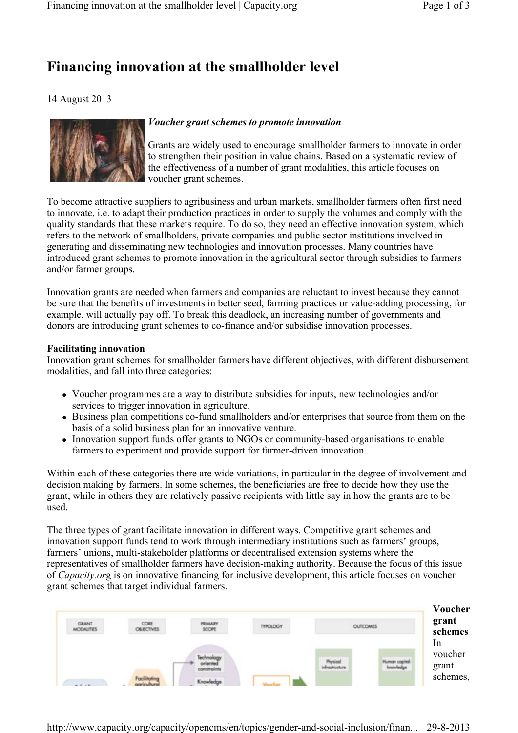# **Financing innovation at the smallholder level**

14 August 2013



## *Voucher grant schemes to promote innovation*

Grants are widely used to encourage smallholder farmers to innovate in order to strengthen their position in value chains. Based on a systematic review of the effectiveness of a number of grant modalities, this article focuses on voucher grant schemes.

To become attractive suppliers to agribusiness and urban markets, smallholder farmers often first need to innovate, i.e. to adapt their production practices in order to supply the volumes and comply with the quality standards that these markets require. To do so, they need an effective innovation system, which refers to the network of smallholders, private companies and public sector institutions involved in generating and disseminating new technologies and innovation processes. Many countries have introduced grant schemes to promote innovation in the agricultural sector through subsidies to farmers and/or farmer groups.

Innovation grants are needed when farmers and companies are reluctant to invest because they cannot be sure that the benefits of investments in better seed, farming practices or value-adding processing, for example, will actually pay off. To break this deadlock, an increasing number of governments and donors are introducing grant schemes to co-finance and/or subsidise innovation processes.

## **Facilitating innovation**

Innovation grant schemes for smallholder farmers have different objectives, with different disbursement modalities, and fall into three categories:

- Voucher programmes are a way to distribute subsidies for inputs, new technologies and/or services to trigger innovation in agriculture.
- Business plan competitions co-fund smallholders and/or enterprises that source from them on the basis of a solid business plan for an innovative venture.
- Innovation support funds offer grants to NGOs or community-based organisations to enable farmers to experiment and provide support for farmer-driven innovation.

Within each of these categories there are wide variations, in particular in the degree of involvement and decision making by farmers. In some schemes, the beneficiaries are free to decide how they use the grant, while in others they are relatively passive recipients with little say in how the grants are to be used.

The three types of grant facilitate innovation in different ways. Competitive grant schemes and innovation support funds tend to work through intermediary institutions such as farmers' groups, farmers' unions, multi-stakeholder platforms or decentralised extension systems where the representatives of smallholder farmers have decision-making authority. Because the focus of this issue of *Capacity.or*g is on innovative financing for inclusive development, this article focuses on voucher grant schemes that target individual farmers.

|  | <b><i>RIALARY</i></b><br>scor |  |  |  | grant<br>schemes                              |
|--|-------------------------------|--|--|--|-----------------------------------------------|
|  |                               |  |  |  | <sub>In</sub><br>voucher<br>grant<br>schemes, |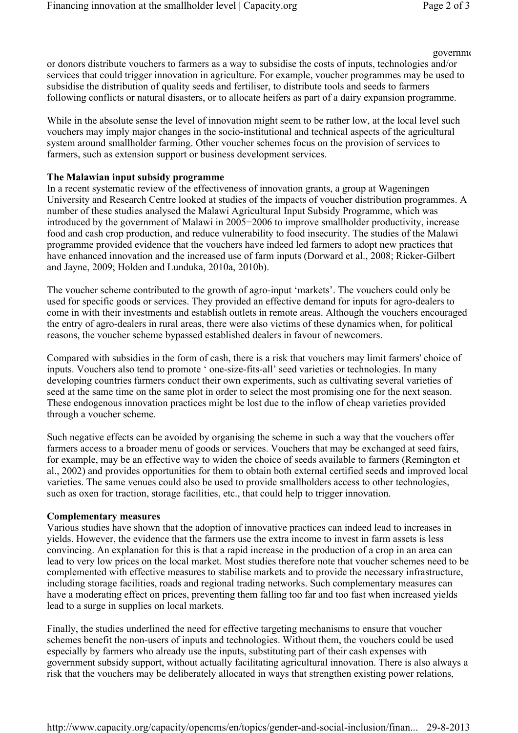#### governme

or donors distribute vouchers to farmers as a way to subsidise the costs of inputs, technologies and/or services that could trigger innovation in agriculture. For example, voucher programmes may be used to subsidise the distribution of quality seeds and fertiliser, to distribute tools and seeds to farmers following conflicts or natural disasters, or to allocate heifers as part of a dairy expansion programme.

While in the absolute sense the level of innovation might seem to be rather low, at the local level such vouchers may imply major changes in the socio-institutional and technical aspects of the agricultural system around smallholder farming. Other voucher schemes focus on the provision of services to farmers, such as extension support or business development services.

#### **The Malawian input subsidy programme**

In a recent systematic review of the effectiveness of innovation grants, a group at Wageningen University and Research Centre looked at studies of the impacts of voucher distribution programmes. A number of these studies analysed the Malawi Agricultural Input Subsidy Programme, which was introduced by the government of Malawi in 2005−2006 to improve smallholder productivity, increase food and cash crop production, and reduce vulnerability to food insecurity. The studies of the Malawi programme provided evidence that the vouchers have indeed led farmers to adopt new practices that have enhanced innovation and the increased use of farm inputs (Dorward et al., 2008; Ricker-Gilbert and Jayne, 2009; Holden and Lunduka, 2010a, 2010b).

The voucher scheme contributed to the growth of agro-input 'markets'. The vouchers could only be used for specific goods or services. They provided an effective demand for inputs for agro-dealers to come in with their investments and establish outlets in remote areas. Although the vouchers encouraged the entry of agro-dealers in rural areas, there were also victims of these dynamics when, for political reasons, the voucher scheme bypassed established dealers in favour of newcomers.

Compared with subsidies in the form of cash, there is a risk that vouchers may limit farmers' choice of inputs. Vouchers also tend to promote ' one-size-fits-all' seed varieties or technologies. In many developing countries farmers conduct their own experiments, such as cultivating several varieties of seed at the same time on the same plot in order to select the most promising one for the next season. These endogenous innovation practices might be lost due to the inflow of cheap varieties provided through a voucher scheme.

Such negative effects can be avoided by organising the scheme in such a way that the vouchers offer farmers access to a broader menu of goods or services. Vouchers that may be exchanged at seed fairs, for example, may be an effective way to widen the choice of seeds available to farmers (Remington et al., 2002) and provides opportunities for them to obtain both external certified seeds and improved local varieties. The same venues could also be used to provide smallholders access to other technologies, such as oxen for traction, storage facilities, etc., that could help to trigger innovation.

### **Complementary measures**

Various studies have shown that the adoption of innovative practices can indeed lead to increases in yields. However, the evidence that the farmers use the extra income to invest in farm assets is less convincing. An explanation for this is that a rapid increase in the production of a crop in an area can lead to very low prices on the local market. Most studies therefore note that voucher schemes need to be complemented with effective measures to stabilise markets and to provide the necessary infrastructure, including storage facilities, roads and regional trading networks. Such complementary measures can have a moderating effect on prices, preventing them falling too far and too fast when increased yields lead to a surge in supplies on local markets.

Finally, the studies underlined the need for effective targeting mechanisms to ensure that voucher schemes benefit the non-users of inputs and technologies. Without them, the vouchers could be used especially by farmers who already use the inputs, substituting part of their cash expenses with government subsidy support, without actually facilitating agricultural innovation. There is also always a risk that the vouchers may be deliberately allocated in ways that strengthen existing power relations,